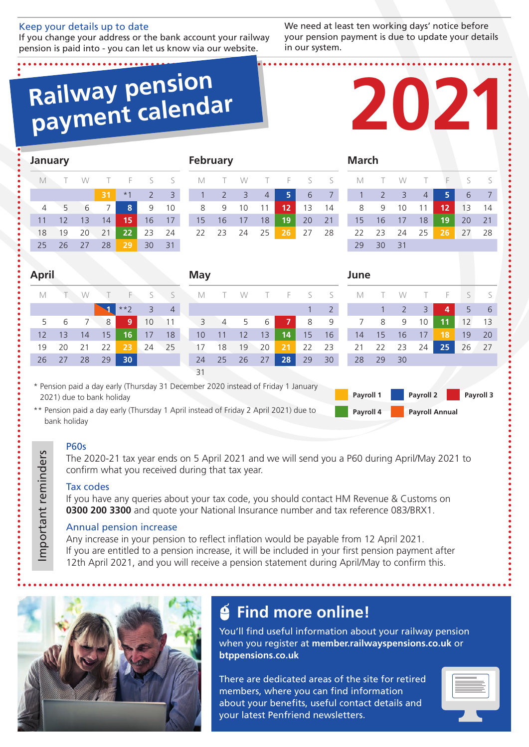#### Keep your details up to date

If you change your address or the bank account your railway pension is paid into - you can let us know via our website.

We need at least ten working days' notice before your pension payment is due to update your details in our system.

## **Railway pension payment calendar**



| <b>January</b>                                                                                                                                        |                                                                                                                            |    |    |       |                |                |    | <b>February</b> |                |    |    |    |    |                | <b>March</b> |              |                |                |    |    |                |
|-------------------------------------------------------------------------------------------------------------------------------------------------------|----------------------------------------------------------------------------------------------------------------------------|----|----|-------|----------------|----------------|----|-----------------|----------------|----|----|----|----|----------------|--------------|--------------|----------------|----------------|----|----|----------------|
| $\mathbb M$                                                                                                                                           |                                                                                                                            | W  |    | F     | S              | S              |    | M               |                | W  |    | F  | S  | S              | M            |              | W              |                | F  | S  | S              |
|                                                                                                                                                       |                                                                                                                            |    | 31 | $*1$  | $\overline{2}$ | 3              |    |                 | $\overline{2}$ | 3  | 4  | 5  | 6  | $\overline{7}$ | $\mathbf{1}$ | 2            | $\overline{3}$ | $\overline{4}$ | 5  | 6  | $\overline{7}$ |
| 4                                                                                                                                                     | 5                                                                                                                          | 6  | 7  | 8     | 9              | 10             |    | 8               | 9              | 10 | 11 | 12 | 13 | 14             | 8            | 9            | 10             | 11             | 12 | 13 | 14             |
| 11                                                                                                                                                    | 12                                                                                                                         | 13 | 14 | 15    | 16             | 17             |    | 15              | 16             | 17 | 18 | 19 | 20 | 21             | 15           | 16           | 17             | 18             | 19 | 20 | 21             |
| 18                                                                                                                                                    | 19                                                                                                                         | 20 | 21 | 22    | 23             | 24             |    | 22              | 23             | 24 | 25 | 26 | 27 | 28             | 22           | 23           | 24             | 25             | 26 | 27 | 28             |
| 25                                                                                                                                                    | 26                                                                                                                         | 27 | 28 | 29    | 30             | 31             |    |                 |                |    |    |    |    |                | 29           | 30           | 31             |                |    |    |                |
| <b>April</b><br><b>May</b><br>June                                                                                                                    |                                                                                                                            |    |    |       |                |                |    |                 |                |    |    |    |    |                |              |              |                |                |    |    |                |
| M                                                                                                                                                     |                                                                                                                            | W  |    | F     | S              | S              |    | M               |                | W  |    | F  | S  | S              | M            |              | W              |                | F  | S  | S              |
|                                                                                                                                                       |                                                                                                                            |    |    | $**2$ | 3              | $\overline{4}$ |    |                 |                |    |    |    |    | $\overline{2}$ |              | $\mathbf{1}$ | $\overline{2}$ | 3              | 4  | 5  | 6              |
| 5                                                                                                                                                     | 6                                                                                                                          | 7  | 8  | 9     | 10             | 11             |    | 3               | 4              | 5  | 6  | 7  | 8  | 9              | 7            | 8            | 9              | 10             | 11 | 12 | 13             |
| 12                                                                                                                                                    | 13                                                                                                                         | 14 | 15 | 16    | 17             | 18             |    | 10              | 11             | 12 | 13 | 14 | 15 | 16             | 14           | 15           | 16             | 17             | 18 | 19 | 20             |
| 19                                                                                                                                                    | 20                                                                                                                         | 21 | 22 | 23    | 24             | 25             |    | 17              | 18             | 19 | 20 | 21 | 22 | 23             | 21           | 22           | 23             | 24             | 25 | 26 | 27             |
| 26                                                                                                                                                    | 27                                                                                                                         | 28 | 29 | 30    |                |                |    | 24              | 25             | 26 | 27 | 28 | 29 | 30             | 28           | 29           | 30             |                |    |    |                |
|                                                                                                                                                       |                                                                                                                            |    |    |       |                |                | 31 |                 |                |    |    |    |    |                |              |              |                |                |    |    |                |
| * Pension paid a day early (Thursday 31 December 2020 instead of Friday 1 January<br>Payroll 2<br>Payroll 1<br>Payroll 3<br>2021) due to bank holiday |                                                                                                                            |    |    |       |                |                |    |                 |                |    |    |    |    |                |              |              |                |                |    |    |                |
|                                                                                                                                                       | ** Pension paid a day early (Thursday 1 April instead of Friday 2 April 2021) due to<br>Payroll 4<br><b>Payroll Annual</b> |    |    |       |                |                |    |                 |                |    |    |    |    |                |              |              |                |                |    |    |                |

Pension paid a day early (Thursday 1 April instead of Friday 2 April 2021) due to bank holiday

#### P60s

Important reminders

Important reminders

The 2020-21 tax year ends on 5 April 2021 and we will send you a P60 during April/May 2021 to confirm what you received during that tax year.

#### Tax codes

If you have any queries about your tax code, you should contact HM Revenue & Customs on **0300 200 3300** and quote your National Insurance number and tax reference 083/BRX1.

#### Annual pension increase

Any increase in your pension to reflect inflation would be payable from 12 April 2021. If you are entitled to a pension increase, it will be included in your first pension payment after 12th April 2021, and you will receive a pension statement during April/May to confirm this.



## **Find more online!**

You'll find useful information about your railway pension when you register at **member.railwayspensions.co.uk** or **btppensions.co.uk** 

There are dedicated areas of the site for retired members, where you can find information about your benefits, useful contact details and your latest Penfriend newsletters.